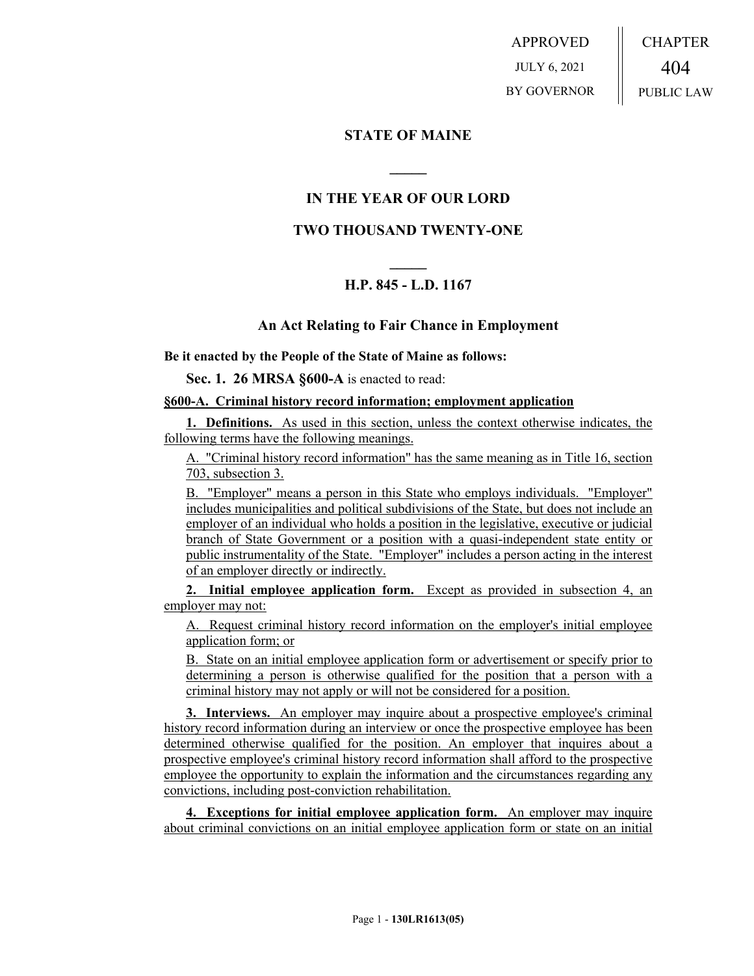APPROVED JULY 6, 2021 BY GOVERNOR CHAPTER 404 PUBLIC LAW

## **STATE OF MAINE**

## **IN THE YEAR OF OUR LORD**

**\_\_\_\_\_**

## **TWO THOUSAND TWENTY-ONE**

# **\_\_\_\_\_ H.P. 845 - L.D. 1167**

### **An Act Relating to Fair Chance in Employment**

**Be it enacted by the People of the State of Maine as follows:**

**Sec. 1. 26 MRSA §600-A** is enacted to read:

#### **§600-A. Criminal history record information; employment application**

**1. Definitions.** As used in this section, unless the context otherwise indicates, the following terms have the following meanings.

A. "Criminal history record information" has the same meaning as in Title 16, section 703, subsection 3.

B. "Employer" means a person in this State who employs individuals. "Employer" includes municipalities and political subdivisions of the State, but does not include an employer of an individual who holds a position in the legislative, executive or judicial branch of State Government or a position with a quasi-independent state entity or public instrumentality of the State. "Employer" includes a person acting in the interest of an employer directly or indirectly.

**2. Initial employee application form.** Except as provided in subsection 4, an employer may not:

A. Request criminal history record information on the employer's initial employee application form; or

B. State on an initial employee application form or advertisement or specify prior to determining a person is otherwise qualified for the position that a person with a criminal history may not apply or will not be considered for a position.

**3. Interviews.** An employer may inquire about a prospective employee's criminal history record information during an interview or once the prospective employee has been determined otherwise qualified for the position. An employer that inquires about a prospective employee's criminal history record information shall afford to the prospective employee the opportunity to explain the information and the circumstances regarding any convictions, including post-conviction rehabilitation.

**4. Exceptions for initial employee application form.** An employer may inquire about criminal convictions on an initial employee application form or state on an initial